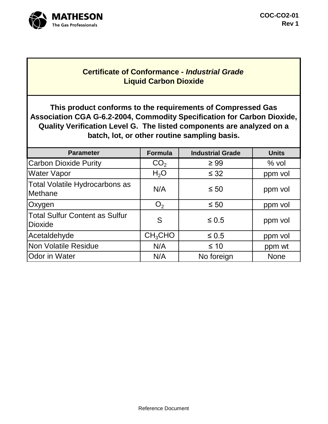

## **Certificate of Conformance -** *Industrial Grade* **Liquid Carbon Dioxide**

**This product conforms to the requirements of Compressed Gas Association CGA G-6.2-2004, Commodity Specification for Carbon Dioxide, Quality Verification Level G. The listed components are analyzed on a batch, lot, or other routine sampling basis.**

| <b>Parameter</b>                                        | Formula             | <b>Industrial Grade</b> | <b>Units</b> |
|---------------------------------------------------------|---------------------|-------------------------|--------------|
| <b>Carbon Dioxide Purity</b>                            | CO <sub>2</sub>     | $\geq 99$               | $%$ vol      |
| <b>Water Vapor</b>                                      | $H_2O$              | $\leq$ 32               | ppm vol      |
| Total Volatile Hydrocarbons as<br>Methane               | N/A                 | $\leq 50$               | ppm vol      |
| Oxygen                                                  | O <sub>2</sub>      | $\leq 50$               | ppm vol      |
| <b>Total Sulfur Content as Sulfur</b><br><b>Dioxide</b> | S                   | $\leq 0.5$              | ppm vol      |
| Acetaldehyde                                            | CH <sub>3</sub> CHO | $\leq 0.5$              | ppm vol      |
| <b>Non Volatile Residue</b>                             | N/A                 | $\leq 10$               | ppm wt       |
| <b>Odor in Water</b>                                    | N/A                 | No foreign              | <b>None</b>  |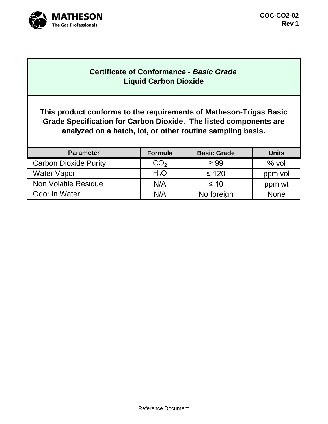

## **Certificate of Conformance -** *Basic Grade* **Liquid Carbon Dioxide**

**This product conforms to the requirements of Matheson-Trigas Basic Grade Specification for Carbon Dioxide. The listed components are analyzed on a batch, lot, or other routine sampling basis.**

| <b>Parameter</b>             | Formula          | <b>Basic Grade</b> | <b>Units</b> |
|------------------------------|------------------|--------------------|--------------|
| <b>Carbon Dioxide Purity</b> | CO <sub>2</sub>  | $\geq 99$          | $%$ vol      |
| <b>Water Vapor</b>           | H <sub>2</sub> O | $\leq 120$         | ppm vol      |
| <b>Non Volatile Residue</b>  | N/A              | $\leq 10$          | ppm wt       |
| <b>Odor in Water</b>         | N/A              | No foreign         | <b>None</b>  |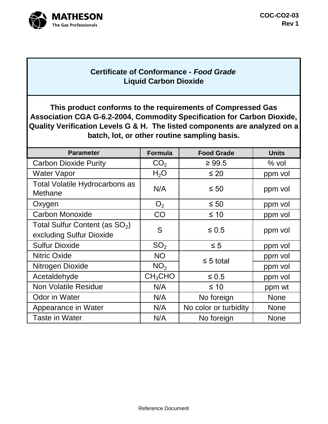

## **Certificate of Conformance -** *Food Grade* **Liquid Carbon Dioxide**

**This product conforms to the requirements of Compressed Gas Association CGA G-6.2-2004, Commodity Specification for Carbon Dioxide, Quality Verification Levels G & H. The listed components are analyzed on a batch, lot, or other routine sampling basis.**

| <b>Parameter</b>                                              | <b>Formula</b>      | <b>Food Grade</b>     | <b>Units</b> |
|---------------------------------------------------------------|---------------------|-----------------------|--------------|
| <b>Carbon Dioxide Purity</b>                                  | CO <sub>2</sub>     | $\geq 99.5$           | $%$ vol      |
| <b>Water Vapor</b>                                            | H <sub>2</sub> O    | $\leq 20$             | ppm vol      |
| <b>Total Volatile Hydrocarbons as</b><br>Methane              | N/A                 | $\leq 50$             | ppm vol      |
| Oxygen                                                        | O <sub>2</sub>      | $\leq 50$             | ppm vol      |
| <b>Carbon Monoxide</b>                                        | CO                  | $\leq 10$             | ppm vol      |
| Total Sulfur Content (as $SO_2$ )<br>excluding Sulfur Dioxide | S                   | $\leq 0.5$            | ppm vol      |
| <b>Sulfur Dioxide</b>                                         | SO <sub>2</sub>     | $\leq 5$              | ppm vol      |
| <b>Nitric Oxide</b>                                           | <b>NO</b>           | $\leq$ 5 total        | ppm vol      |
| Nitrogen Dioxide                                              | NO <sub>2</sub>     |                       | ppm vol      |
| Acetaldehyde                                                  | CH <sub>3</sub> CHO | $\leq 0.5$            | ppm vol      |
| <b>Non Volatile Residue</b>                                   | N/A                 | $\leq 10$             | ppm wt       |
| <b>Odor in Water</b>                                          | N/A                 | No foreign            | <b>None</b>  |
| Appearance in Water                                           | N/A                 | No color or turbidity | <b>None</b>  |
| <b>Taste in Water</b>                                         | N/A                 | No foreign            | <b>None</b>  |